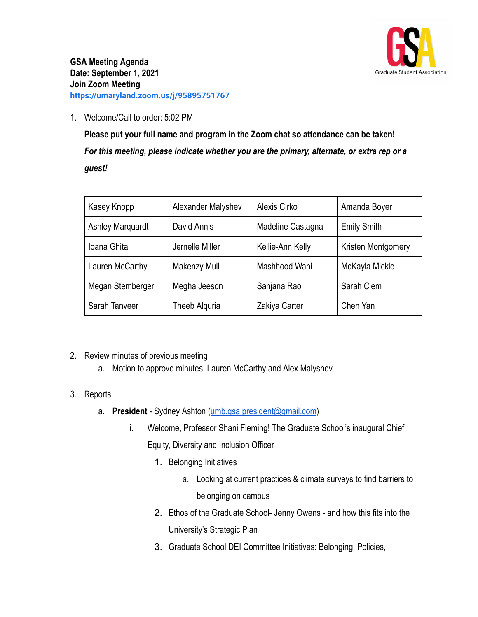

1. Welcome/Call to order: 5:02 PM

**Please put your full name and program in the Zoom chat so attendance can be taken!** *For this meeting, please indicate whether you are the primary, alternate, or extra rep or a guest!*

| Kasey Knopp             | Alexander Malyshev | Alexis Cirko      | Amanda Boyer       |
|-------------------------|--------------------|-------------------|--------------------|
| <b>Ashley Marquardt</b> | David Annis        | Madeline Castagna | <b>Emily Smith</b> |
| Ioana Ghita             | Jernelle Miller    | Kellie-Ann Kelly  | Kristen Montgomery |
| Lauren McCarthy         | Makenzy Mull       | Mashhood Wani     | McKayla Mickle     |
| Megan Stemberger        | Megha Jeeson       | Sanjana Rao       | Sarah Clem         |
| Sarah Tanveer           | Theeb Alguria      | Zakiya Carter     | Chen Yan           |

- 2. Review minutes of previous meeting
	- a. Motion to approve minutes: Lauren McCarthy and Alex Malyshev
- 3. Reports
	- a. **President** Sydney Ashton ([umb.gsa.president@gmail.com\)](mailto:umb.gsa.president@gmail.com)
		- i. Welcome, Professor Shani Fleming! The Graduate School's inaugural Chief Equity, Diversity and Inclusion Officer
			- 1. Belonging Initiatives
				- a. Looking at current practices & climate surveys to find barriers to belonging on campus
			- 2. Ethos of the Graduate School- Jenny Owens and how this fits into the University's Strategic Plan
			- 3. Graduate School DEI Committee Initiatives: Belonging, Policies,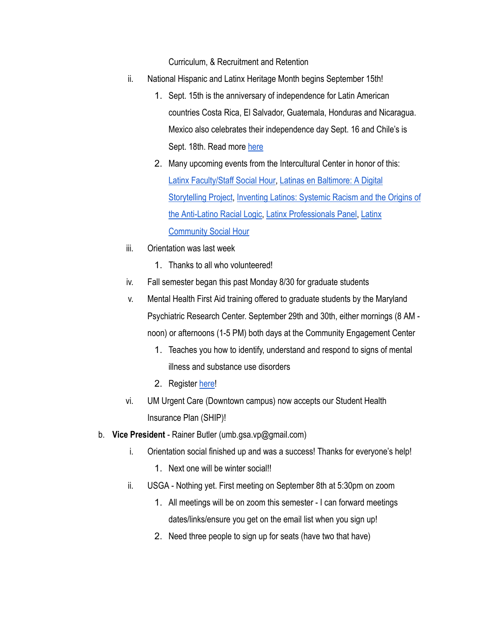Curriculum, & Recruitment and Retention

- ii. National Hispanic and Latinx Heritage Month begins September 15th!
	- 1. Sept. 15th is the anniversary of independence for Latin American countries Costa Rica, El Salvador, Guatemala, Honduras and Nicaragua. Mexico also celebrates their independence day Sept. 16 and Chile's is Sept. 18th. Read more [here](https://www.hispanicheritagemonth.gov/about/)
	- 2. Many upcoming events from the Intercultural Center in honor of this: [Latinx Faculty/Staff Social Hour](https://clbs.wufoo.com/forms/mpf5z710eiuftd/), [Latinas en Baltimore:](https://umaryland.zoom.us/meeting/register/tJ0kcOGupjMuHNMJ0DMpLkR7sgZDNd9VTOqR) A Digital [Storytelling Project](https://umaryland.zoom.us/meeting/register/tJ0kcOGupjMuHNMJ0DMpLkR7sgZDNd9VTOqR), [Inventing Latinos: Systemic](https://jhjhm.zoom.us/webinar/register/WN_qBPGCJnNRVWLFAh8VWPQrw) Racism and the Origins of [the Anti-Latino Racial Logic,](https://jhjhm.zoom.us/webinar/register/WN_qBPGCJnNRVWLFAh8VWPQrw) [Latinx Professionals](https://umaryland.zoom.us/meeting/register/tJMocO-rrjoqHNH8NDlXAIvcNIO994IDxJnh) Panel, [Latinx](https://umaryland.zoom.us/meeting/register/tJAqcu2rqD4sEtFsC0pFR3Bko5kXcgOMOY4E) [Community Social Hour](https://umaryland.zoom.us/meeting/register/tJAqcu2rqD4sEtFsC0pFR3Bko5kXcgOMOY4E)
- iii. Orientation was last week
	- 1. Thanks to all who volunteered!
- iv. Fall semester began this past Monday 8/30 for graduate students
- v. Mental Health First Aid training offered to graduate students by the Maryland Psychiatric Research Center. September 29th and 30th, either mornings (8 AM noon) or afternoons (1-5 PM) both days at the Community Engagement Center
	- 1. Teaches you how to identify, understand and respond to signs of mental illness and substance use disorders
	- 2. Register [here](https://forms.office.com/pages/responsepage.aspx?id=xYkCqkvzBEWGoz55PRzwrcEeKBSsUqNAm6GgfjJ84GFUOVZBSUQzSFZJVVRLWlZGMllQVllFWVVNSS4u)!
- vi. UM Urgent Care (Downtown campus) now accepts our Student Health Insurance Plan (SHIP)!
- b. **Vice President** Rainer Butler (umb.gsa.vp@gmail.com)
	- i. Orientation social finished up and was a success! Thanks for everyone's help!
		- 1. Next one will be winter social!!
	- ii. USGA Nothing yet. First meeting on September 8th at 5:30pm on zoom
		- 1. All meetings will be on zoom this semester I can forward meetings dates/links/ensure you get on the email list when you sign up!
		- 2. Need three people to sign up for seats (have two that have)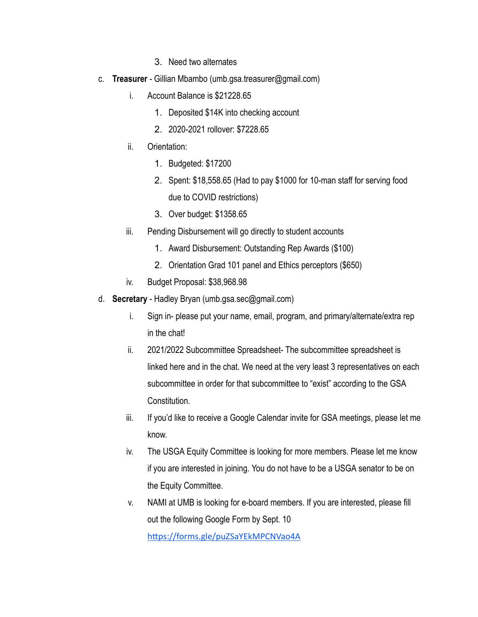- 3. Need two alternates
- c. **Treasurer** Gillian Mbambo (umb.gsa.treasurer@gmail.com)
	- i. Account Balance is \$21228.65
		- 1. Deposited \$14K into checking account
		- 2. 2020-2021 rollover: \$7228.65
	- ii. Orientation:
		- 1. Budgeted: \$17200
		- 2. Spent: \$18,558.65 (Had to pay \$1000 for 10-man staff for serving food due to COVID restrictions)
		- 3. Over budget: \$1358.65
	- iii. Pending Disbursement will go directly to student accounts
		- 1. Award Disbursement: Outstanding Rep Awards (\$100)
		- 2. Orientation Grad 101 panel and Ethics perceptors (\$650)
	- iv. Budget Proposal: \$38,968.98
- d. **Secretary** Hadley Bryan (umb.gsa.sec@gmail.com)
	- i. Sign in- please put your name, email, program, and primary/alternate/extra rep in the chat!
	- ii. 2021/2022 Subcommittee Spreadsheet- The subcommittee spreadsheet is linked here and in the chat. We need at the very least 3 representatives on each subcommittee in order for that subcommittee to "exist" according to the GSA Constitution.
	- iii. If you'd like to receive a Google Calendar invite for GSA meetings, please let me know.
	- iv. The USGA Equity Committee is looking for more members. Please let me know if you are interested in joining. You do not have to be a USGA senator to be on the Equity Committee.
	- v. NAMI at UMB is looking for e-board members. If you are interested, please fill out the following Google Form by Sept. 10

https://forms.gle/puZSaYEkMPCNVao4A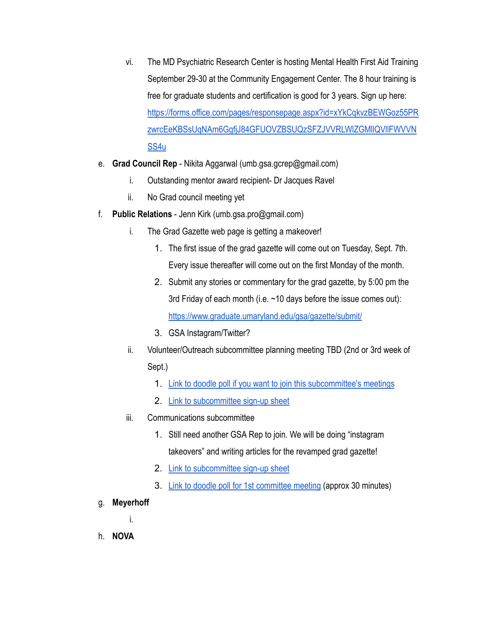- vi. The MD Psychiatric Research Center is hosting Mental Health First Aid Training September 29-30 at the Community Engagement Center. The 8 hour training is free for graduate students and certification is good for 3 years. Sign up here: [https://forms.office.com/pages/responsepage.aspx?id=xYkCqkvzBEWGoz55PR](https://forms.office.com/pages/responsepage.aspx?id=xYkCqkvzBEWGoz55PRzwrcEeKBSsUqNAm6GgfjJ84GFUOVZBSUQzSFZJVVRLWlZGMllQVllFWVVNSS4u) [zwrcEeKBSsUqNAm6GgfjJ84GFUOVZBSUQzSFZJVVRLWlZGMllQVllFWVVN](https://forms.office.com/pages/responsepage.aspx?id=xYkCqkvzBEWGoz55PRzwrcEeKBSsUqNAm6GgfjJ84GFUOVZBSUQzSFZJVVRLWlZGMllQVllFWVVNSS4u) [SS4u](https://forms.office.com/pages/responsepage.aspx?id=xYkCqkvzBEWGoz55PRzwrcEeKBSsUqNAm6GgfjJ84GFUOVZBSUQzSFZJVVRLWlZGMllQVllFWVVNSS4u)
- e. **Grad Council Rep** Nikita Aggarwal (umb.gsa.gcrep@gmail.com)
	- i. Outstanding mentor award recipient- Dr Jacques Ravel
	- ii. No Grad council meeting yet
- f. **Public Relations** Jenn Kirk (umb.gsa.pro@gmail.com)
	- i. The Grad Gazette web page is getting a makeover!
		- 1. The first issue of the grad gazette will come out on Tuesday, Sept. 7th. Every issue thereafter will come out on the first Monday of the month.
		- 2. Submit any stories or commentary for the grad gazette, by 5:00 pm the 3rd Friday of each month (i.e.  $\sim$  10 days before the issue comes out): <https://www.graduate.umaryland.edu/gsa/gazette/submit/>
		- 3. GSA Instagram/Twitter?
	- ii. Volunteer/Outreach subcommittee planning meeting TBD (2nd or 3rd week of Sept.)
		- 1. [Link to doodle poll if you want to join this subcommittee's meetings](https://doodle.com/poll/sp2wy8w6kynbnwct?utm_source=poll&utm_medium=link)
		- 2. [Link to subcommittee sign-up sheet](https://docs.google.com/spreadsheets/d/1i0KLCGADcoN_xXXSZKCarf5cBUtkC6gA4Yb3Slvn7-0/edit#gid=1132758769)
	- iii. Communications subcommittee
		- 1. Still need another GSA Rep to join. We will be doing "instagram takeovers" and writing articles for the revamped grad gazette!
		- 2. [Link to subcommittee sign-up sheet](https://docs.google.com/spreadsheets/d/1i0KLCGADcoN_xXXSZKCarf5cBUtkC6gA4Yb3Slvn7-0/edit#gid=2013564926)
		- 3. [Link to doodle poll for 1st committee meeting](https://doodle.com/poll/mzpcs7yruyuycafy?utm_source=poll&utm_medium=link) (approx 30 minutes)
- g. **Meyerhoff**

i.

h. **NOVA**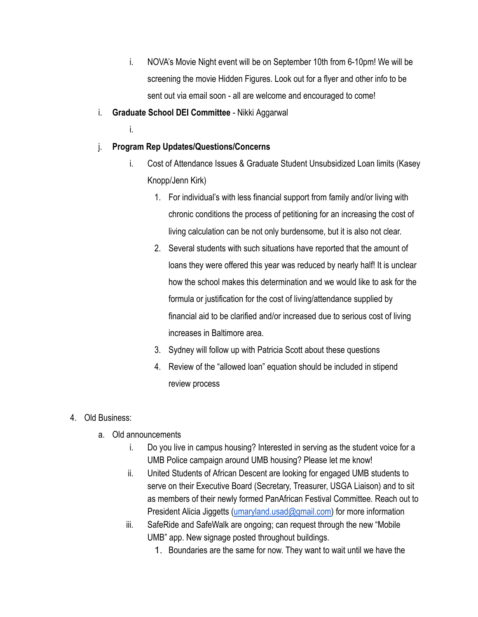- i. NOVA's Movie Night event will be on September 10th from 6-10pm! We will be screening the movie Hidden Figures. Look out for a flyer and other info to be sent out via email soon - all are welcome and encouraged to come!
- i. **Graduate School DEI Committee** Nikki Aggarwal
	- i.
- j. **Program Rep Updates/Questions/Concerns**
	- i. Cost of Attendance Issues & Graduate Student Unsubsidized Loan limits (Kasey Knopp/Jenn Kirk)
		- 1. For individual's with less financial support from family and/or living with chronic conditions the process of petitioning for an increasing the cost of living calculation can be not only burdensome, but it is also not clear.
		- 2. Several students with such situations have reported that the amount of loans they were offered this year was reduced by nearly half! It is unclear how the school makes this determination and we would like to ask for the formula or justification for the cost of living/attendance supplied by financial aid to be clarified and/or increased due to serious cost of living increases in Baltimore area.
		- 3. Sydney will follow up with Patricia Scott about these questions
		- 4. Review of the "allowed loan" equation should be included in stipend review process
- 4. Old Business:
	- a. Old announcements
		- i. Do you live in campus housing? Interested in serving as the student voice for a UMB Police campaign around UMB housing? Please let me know!
		- ii. United Students of African Descent are looking for engaged UMB students to serve on their Executive Board (Secretary, Treasurer, USGA Liaison) and to sit as members of their newly formed PanAfrican Festival Committee. Reach out to President Alicia Jiggetts [\(umaryland.usad@gmail.com](mailto:umaryland.usad@gmail.com)) for more information
		- iii. SafeRide and SafeWalk are ongoing; can request through the new "Mobile UMB" app. New signage posted throughout buildings.
			- 1. Boundaries are the same for now. They want to wait until we have the